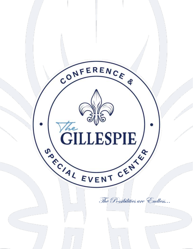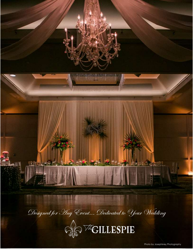



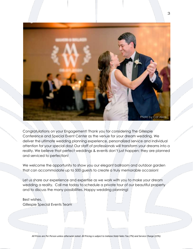

Congratulations on your Engagement! Thank you for considering The Gillespie Conference and Special Event Center as the venue for your dream wedding. We deliver the ultimate wedding planning experience, personalized service and individual attention for your special day! Our staff of professionals will transform your dreams into a reality. We believe that perfect weddings & events don't just happen; they are planned and serviced to perfection!

We welcome the opportunity to show you our elegant ballroom and outdoor garden that can accommodate up to 500 guests to create a truly memorable occasion!

Let us share our experience and expertise as we work with you to make your dream wedding a reality. Call me today to schedule a private tour of our beautiful property and to discuss the many possibilities. Happy wedding planning!

Best wishes, Gillespie Special Events Team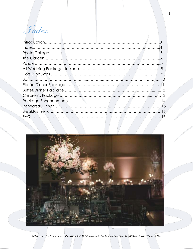Index

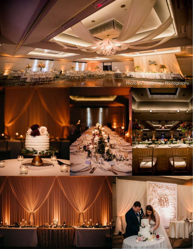5 Photo by Josephiney Photographyü **Contract** i 大学 (の) 7 l *All Prices are Per Person unless otherwise noted. All Pricing is subject to Indiana State Sales Tax (7%) and Service Charge (22%).*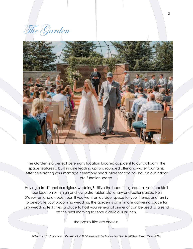The Garden



The Garden is a perfect ceremony location located adjacent to our ballroom. The space features a built in aisle leading up to a rounded alter and water fountains. After celebrating your marriage ceremony head inside for cocktail hour in our indoor pre-function space.

Having a traditional or religious wedding? Utilize the beautiful garden as your cocktail hour location with high and low bistro tables, stationary and butler passed Hors D'oeuvres, and an open bar. If you want an outdoor space for your friends and family to celebrate your upcoming wedding, the garden is an intimate gathering space for any wedding festivities; a place to host your rehearsal dinner or can be used as a send off the next morning to serve a delicious brunch.

The possibilities are endless.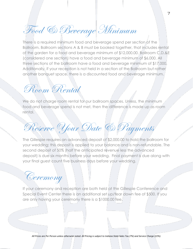Food & Beverage Minimum

There is a required minimum food and beverage spend per section of the Ballroom. Ballroom sections A & B must be booked together, that includes rental of the garden for a food and beverage minimum of \$12,000.00. Ballroom C,D,&E (considered one section) have a food and beverage minimum of \$6,000. All three sections of the ballroom have a food and beverage minimum of \$17,000. Additionally, if your reception is not held in a section of the Ballroom but rather another banquet space, there is a discounted food and beverage minimum.

Room Rental

We do not charge room rental for our ballroom spaces. Unless, the minimum food and beverage spend is not met, then the difference is made up as room rental.

Reserve Your Date & Payments

The Gillespie requires an advanced deposit of \$2,000.00 to hold the ballroom for your wedding; this deposit is applied to your balance and is non-refundable. The second deposit of 50% (half the anticipated revenue less the advanced deposit) is due six months before your wedding. Final payment is due along with your final guest count five business days before your wedding.

Ceremony

If your ceremony and reception are both held at the Gillespie Conference and Special Event Center there is an additional set up/tear down fee of \$500. If you are only having your ceremony there is a \$1000.00 fee.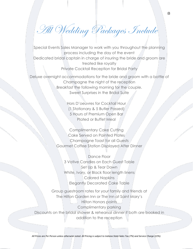All Wedding Packages Include

Special Events Sales Manager to work with you throughout the planning process including the day of the event Dedicated bridal captain in charge of insuring the bride and groom are treated like royalty Private Cocktail Reception for Bridal Party

Deluxe overnight accommodations for the bride and groom with a bottle of Champagne the night of the reception Breakfast the following morning for the couple. Sweet Surprises in the Bridal Suite

> Hors D'oeuvres for Cocktail Hour (1 Stationary & 5 Butler Passed) 5 Hours of Premium Open Bar Plated or Buffet Meal

Complimentary Cake Cutting Cake Served on Painted Plates Champagne Toast for all Guests Gourmet Coffee Station Displayed After Dinner

Dance Floor 3 Votive Candles on Each Guest Table Set Up & Tear Down White, Ivory, or Black floor length linens Colored Napkins Elegantly Decorated Cake Table

Group guestroom rates for your family and friends at The Hilton Garden Inn or The Inn at Saint Mary's Hilton Honors points Complimentary parking Discounts on the bridal shower & rehearsal dinner if both are booked in addition to the reception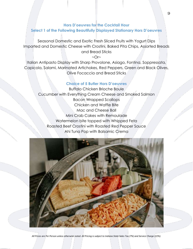# **Hors D'oeuvres for the Cocktail Hour Select 1 of the Following Beautifully Displayed Stationary Hors D'oeuvres**

Seasonal Domestic and Exotic Fresh Sliced Fruits with Yogurt Dips Imported and Domestic Cheese with Crostini, Baked Pita Chips, Assorted Breads and Bread Sticks

 $~\sim$ Or $~\sim$ 

Italian Antipasto Display with Sharp Provolone, Asiago, Fontina, Soppressata, Capicola, Salami, Marinated Artichokes, Red Peppers, Green and Black Olives, Olive Focaccia and Bread Sticks

## **Choice of 5 Butler Hors D'oeuvres**

Buffalo Chicken Brioche Boule Cucumber with Everything Cream Cheese and Smoked Salmon Bacon Wrapped Scallops Chicken and Waffle Bite Mac and Cheese Ball Mini Crab Cakes with Remoulade Watermelon bite topped with Whipped Feta Roasted Beef Crostini with Roasted Red Pepper Sauce Ahi Tuna Pop with Balsamic Crema

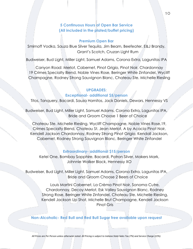## **5 Continuous Hours of Open Bar Service (All included in the plated/buffet pricing)**

#### **Premium Open Bar**

Smirnoff Vodka, Sauza Blue Silver Tequila, Jim Beam, Beefeater, E&J Brandy, Grant's Scotch, Cruzan Light Rum

Budweiser, Bud Light, Miller Light, Samuel Adams, Corona Extra, Lagunitas IPA

Canyon Road: Merlot, Cabernet, Pinot Grigio, Pinot Noir, Chardonnay 19 Crimes Specialty Blend, Noble Vines Rose, Beringer White Zinfandel, Wycliff Champagne, Rodney Strong Sauvignon Blanc, Chateau Ste. Michelle Riesling

## **UPGRADES:**

## **Exceptional- additional \$5/person**

Titos, Tanquery, Bacardi, Sauza Hornitos, Jack Daniels, Dewars, Hennessy VS

Budweiser, Bud Light, Miller Light, Samuel Adams, Corona Extra, Lagunitas IPA, Bride and Groom Choose 1 Beer of Choice

Chateau Ste. Michelle Riesling, Wycliff Champagne, Noble Vines Rose,19, Crimes Specialty Blend, Chateau St. Jean Merlot, A by Acacia Pinot Noir, Kendell Jackson Chardonnay, Rodney Strong Pinot Grigio, Kendall Jackson, Cabernet, Rodney Strong Sauvignon Blanc, Beringer White Zinfandel

#### **Extraordinary- additional \$15/person**

Ketel One, Bombay Sapphire, Bacardi, Patron Silver, Makers Mark, Johnnie Walker Black, Hennessy XO

Budweiser, Bud Light, Miller Light, Samuel Adams, Corona Extra, Lagunitas IPA, Bride and Groom Choose 2 Beers of Choice

> Louis Martini Cabernet, La Crèma Pinot Noir, Sonoma Cutre, Chardonnay, Decoy Merlot, Esk Valley Sauvignon Blanc, Rodney Strong Rose, Beringer White Zinfandel, Chateau Ste. Michelle Riesling, Kendell Jackson Up Shot, Michelle Brut Champagne, Kendell Jackson Pinot Gris

**Non-Alcoholic- Red Bull and Red Bull Sugar free available upon request**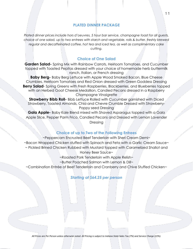## **PLATED DINNER PACKAGE**

*Plated dinner prices include hors d'oeuvres, 5 hour bar service, champagne toast for all guests, choice of one salad, up to two entrees with starch and vegetable, rolls & butter, freshly brewed regular and decaffeinated coffee, hot tea and iced tea, as well as complimentary cake cutting.* 

## **Choice of One Salad**

**Garden Salad-** Spring Mix with Rainbow Carrots, Heirloom Tomatoes, and Cucumber topped with Toasted Pepitas dressed with your choice of homemade herb buttermilk ranch, Italian, or French dressing

**Baby Berg-** Baby Berg Lettuce with Apple Wood Smoked Bacon, Blue Cheese Crumbles, Heirloom Tomatoes and Red Onion dressed with Green Goddess Dressing **Berry Salad**- Spring Greens with Fresh Raspberries, Blackberries, and Blueberries topped with an Herbed Goat Cheese Medallion, Candied Pecans dressed in a Raspberry Champagne Vinaigrette

**Strawberry Bibb Roll-** Bibb Lettuce Rolled with Cucumber garnished with Diced Strawberry, Toasted Almonds, Chia and Chevre Crumble Dressed with Strawberry-Poppy seed Dressing

**Gala Apple-** Baby Kale Blend mixed with Shaved Asparagus topped with a Gala Apple Slice, Pepper Parm Frico, Candied Pecans and Dressed with Lemon Lavender Dressing

#### **Choice of up to Two of the Following Entrees**

~Peppercorn Encrusted Beef Tenderloin with Sheri Cream Demi~ ~Bacon Wrapped Chicken stuffed with Spinach and Feta with a Garlic Cream Sauce~ ~ Pickled Brined Chicken Rubbed with Mustard topped with Caramelized Shallot and Honey Beer Sauce~

~Roasted Pork Tenderloin with Apple Relish~

~Butter Poached Salmon with Lemon & Dill~

~Combination Entrée of Beef Tenderloin and Cranberry and Chive Stuffed Chicken~

#### *Starting at \$64.25 per person*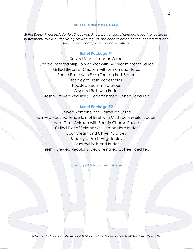#### **BUFFET DINNER PACKAGE**

*Buffet Dinner Prices include Hors D'oeuvres, 5 hour bar service, champagne toast for all guests, buffet menu, rolls & butter, freshly brewed regular and decaffeinated coffee, hot tea and iced tea, as well as complimentary cake cutting.* 

## **Buffet Package #1**

Served Mediterranean Salad Carved Roasted Strip Loin of Beef with Mushroom Merlot Sauce Grilled Breast of Chicken with Lemon and Herbs Penne Pasta with Fresh Tomato Basil Sauce Medley of Fresh Vegetables Roasted Red Skin Potatoes Assorted Rolls with Butter Freshly Brewed Regular & Decaffeinated Coffee, Iced Tea

## **Buffet Package #2**

Served Romaine and Parmesan Salad Carved Roasted Tenderloin of Beef with Mushroom Merlot Sauce Herb Crust Chicken with Boursin Cheese Sauce Grilled Filet of Salmon with Lemon Herb Butter Sour Cream and Chive Potatoes Medley of Fresh Vegetables Assorted Rolls and Butter Freshly Brewed Regular & Decaffeinated Coffee, Iced Tea

*Starting at \$70.50 per person*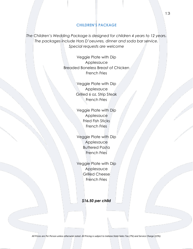## **CHILDREN'S PACKAGE**

*The Children's Wedding Package is designed for children 4 years to 12 years. The packages include Hors D'oeuvres, dinner and soda bar service. Special requests are welcome*

> Veggie Plate with Dip Applesauce Breaded Boneless Breast of Chicken French Fries

> > Veggie Plate with Dip Applesauce Grilled 6 oz. Strip Steak French Fries

Veggie Plate with Dip Applesauce Fried Fish Sticks French Fries

Veggie Plate with Dip Applesauce Buttered Pasta French Fries

Veggie Plate with Dip Applesauce Grilled Cheese French Fries

*\$16.50 per child*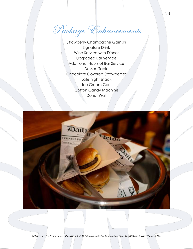Package Enhancements

Strawberry Champagne Garnish Signature Drink Wine Service with Dinner Upgraded Bar Service Additional Hours of Bar Service Dessert Table Chocolate Covered Strawberries Late night snack Ice Cream Cart Cotton Candy Machine Donut Wall

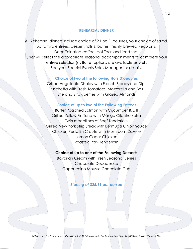## **REHEARSAL DINNER**

All Rehearsal dinners include choice of 2 Hors D'oeuvres, your choice of salad, up to two entrees, dessert, rolls & butter, freshly brewed Regular & Decaffeinated coffee, Hot Teas and iced tea. Chef will select the appropriate seasonal accompaniments to complete your entrée selection(s). Buffet options are available as well. See your Special Events Sales Manager for details.

## **Choice of two of the following Hors D'oeuvres**

Grilled Vegetable Display with French Breads and Dips Bruschetta with Fresh Tomatoes, Mozzarella and Basil Brie and Strawberries with Glazed Almonds

## **Choice of up to two of the Following Entrees**

Butter Poached Salmon with Cucumber & Dill Grilled Yellow Fin Tuna with Mango Cilantro Salsa Twin medallions of Beef Tenderloin Grilled New York Strip Steak with Bermuda Onion Sauce Chicken Pesto En Croute with Mushroom Duxelle Lemon Caper Chicken Roasted Pork Tenderloin

## **Choice of up to one of the Following Desserts**

Bavarian Cream with Fresh Seasonal Berries Chocolate Decadence Cappuccino Mousse Chocolate Cup

*Starting at \$25.99 per person*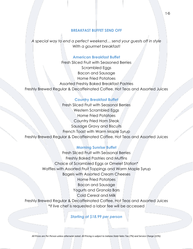## **BREAKFAST BUFFET SEND OFF**

*A special way to end a perfect weekend… send your guests off in style With a gourmet breakfast!*

## **American Breakfast Buffet**

Fresh Sliced Fruit with Seasoned Berries Scrambled Eggs Bacon and Sausage Home Fried Potatoes Assorted Freshly Baked Breakfast Pastries Freshly Brewed Regular & Decaffeinated Coffee, Hot Teas and Assorted Juices

#### **Country Breakfast Buffet**

Fresh Sliced Fruit with Seasonal Berries Western Scrambled Eggs Home Fried Potatoes Country Fried Ham Steak Sausage Gravy and Biscuits French Toast with Warm Maple Syrup Freshly Brewed Regular & Decaffeinated Coffee, Hot Teas and Assorted Juices

## **Morning Sunrise Buffet**

Fresh Sliced Fruit with Seasonal Berries Freshly Baked Pastries and Muffins Choice of Scrambled Eggs or Omelet Station\* Waffles with Assorted Fruit Toppings and Warm Maple Syrup Bagels with Assorted Cream Cheeses Home Fried Potatoes Bacon and Sausage Yogurts and Granola Bars Cold Cereal and Milk Freshly Brewed Regular & Decaffeinated Coffee, Hot Teas and Assorted Juices \*If live chef is requested a labor fee will be accessed

*Starting at \$18.99 per person*

16